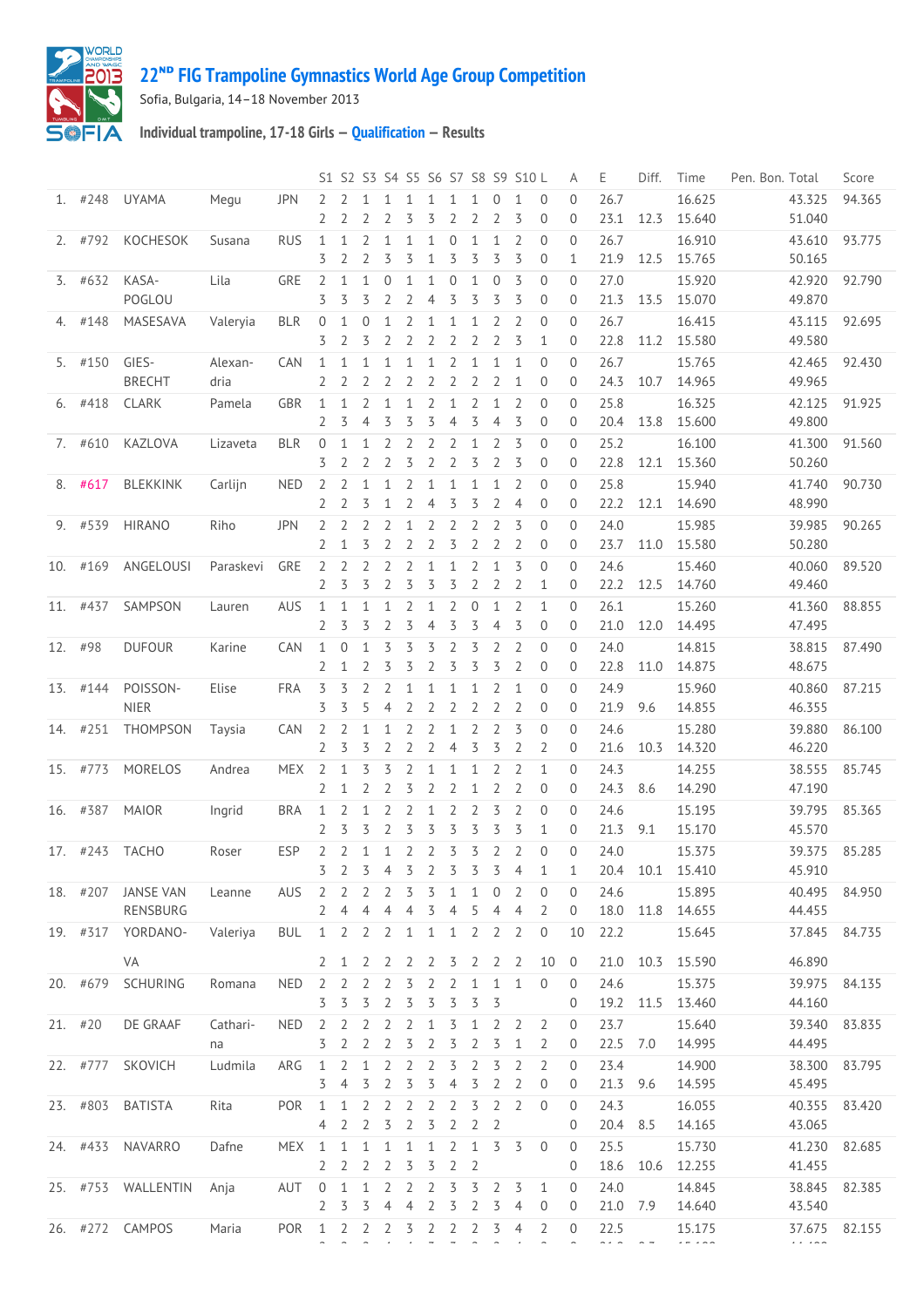

## **ᴺᴰ [FIG Trampoline Gymnastics World Age Group Competition](http://192.168.1.7:9001/event)**

Sofia, Bulgaria, 14–18 November 2013

**Individual trampoline, 17-18 Girls — [Qualification](http://192.168.1.7:9001/stage/29) — Results**

|         |           |                               |                 |            |                                |                                     |                                  |                                  |                                  |                                  |                                  |                                |                                  | S1 S2 S3 S4 S5 S6 S7 S8 S9 S10 L |                                               | Α                                | Ε                     | Diff.     | Time                       | Pen. Bon. Total            | Score  |
|---------|-----------|-------------------------------|-----------------|------------|--------------------------------|-------------------------------------|----------------------------------|----------------------------------|----------------------------------|----------------------------------|----------------------------------|--------------------------------|----------------------------------|----------------------------------|-----------------------------------------------|----------------------------------|-----------------------|-----------|----------------------------|----------------------------|--------|
|         | $1.$ #248 | <b>UYAMA</b>                  | Megu            | <b>JPN</b> | 2<br>2                         | 2                                   |                                  | 2                                | 1<br>3                           | 1<br>3                           | 1<br>$\overline{2}$              | 1<br>2                         | $\Omega$<br>2                    | $\mathbf{1}$<br>3                | $\Omega$<br>$\mathbf 0$                       | $\Omega$<br>0                    | 26.7<br>23.1          | 12.3      | 16.625<br>15.640           | 43.325<br>51.040           | 94.365 |
|         | 2. #792   | KOCHESOK                      | Susana          | <b>RUS</b> | 1<br>3                         | $\mathbf{1}$<br>2                   | 2<br>2                           | $\mathbf{1}$<br>3                | 1<br>3                           | $\mathbf{1}$<br>1                | $\overline{0}$<br>3              | $\mathbf{1}$<br>3              | $\mathbf{1}$<br>3                | $\overline{2}$<br>3              | $\overline{0}$<br>$\overline{0}$              | $\mathbf{0}$<br>$\mathbf{1}$     | 26.7<br>21.9          | 12.5      | 16.910<br>15.765           | 43.610<br>50.165           | 93.775 |
|         | $3.$ #632 | KASA-<br>POGLOU               | Lila            | GRE        | $\overline{2}$<br>3            | 1<br>3                              | 1<br>3                           | $\mathbf{0}$<br>2                | 1<br>$\overline{2}$              | 1<br>$\overline{4}$              | $\overline{0}$<br>3              | $\mathbf{1}$<br>3              | $\overline{0}$<br>3              | 3<br>3                           | $\overline{0}$<br>$\overline{0}$              | $\Omega$<br>$\overline{0}$       | 27.0<br>21.3          | 13.5      | 15.920<br>15.070           | 42.920<br>49.870           | 92.790 |
| 4.      | #148      | MASESAVA                      | Valeryia        | <b>BLR</b> | $\mathbf{0}$<br>3              | $\mathbf{1}$<br>2                   | $\overline{0}$<br>3              | $\mathbf{1}$<br>2                | $\overline{2}$<br>$\overline{2}$ | 1<br>2                           | $\mathbf{1}$<br>$\overline{2}$   | 1<br>2                         | 2<br>$\overline{2}$              | $\overline{2}$<br>3              | $\overline{0}$<br>$\mathbf{1}$                | $\Omega$<br>$\mathbf{0}$         | 26.7<br>22.8          | 11.2      | 16.415<br>15.580           | 43.115<br>49.580           | 92.695 |
|         | 5. #150   | GIES-<br><b>BRECHT</b>        | Alexan-<br>dria | CAN        | 1<br>2                         | 1<br>2                              | 2                                | 1<br>$\overline{2}$              | 1<br>2                           | 1<br>2                           | 2<br>$\overline{2}$              | 1<br>2                         | $\mathbf{1}$<br>$\overline{2}$   | $\mathbf{1}$<br>$\mathbf{1}$     | $\overline{0}$<br>$\theta$                    | $\overline{0}$<br>0              | 26.7<br>24.3          | 10.7      | 15.765<br>14.965           | 42.465<br>49.965           | 92.430 |
| 6.      | #418      | <b>CLARK</b>                  | Pamela          | GBR        | 1<br>$\overline{2}$            | 1<br>3                              | 2<br>$\overline{4}$              | $\mathbf{1}$<br>3                | 1<br>3                           | 2<br>3                           | $\mathbf{1}$<br>$\overline{4}$   | 2<br>3                         | 1<br>$\overline{4}$              | 2<br>3                           | $\mathbf{0}$<br>$\overline{0}$                | $\overline{0}$<br>$\overline{0}$ | 25.8<br>20.4          | 13.8      | 16.325<br>15.600           | 42.125<br>49.800           | 91.925 |
|         | 7. #610   | KAZLOVA                       | Lizaveta        | <b>BLR</b> | $\overline{0}$<br>3            | 1<br>2                              | $\mathbf{1}$<br>2                | 2<br>2                           | $\overline{2}$<br>3              | $\overline{2}$<br>$\overline{2}$ | $\overline{2}$<br>$\overline{2}$ | 1<br>3                         | $\overline{2}$<br>$\overline{2}$ | 3<br>3                           | $\overline{0}$<br>0                           | $\Omega$<br>$\mathbf{0}$         | 25.2<br>22.8          | 12.1      | 16.100<br>15.360           | 41.300<br>50.260           | 91.560 |
| 8.      | #617      | <b>BLEKKINK</b>               | Carlijn         | <b>NED</b> | 2<br>2                         | 2<br>2                              | 1<br>3                           | $\mathbf{1}$<br>$\mathbf{1}$     | $\overline{2}$<br>$\overline{2}$ | 1<br>$\overline{4}$              | $\mathbf{1}$<br>3                | 1<br>3                         | $\mathbf{1}$<br>$\overline{2}$   | $\overline{2}$<br>$\overline{4}$ | $\overline{0}$<br>$\theta$                    | $\overline{0}$<br>$\overline{0}$ | 25.8<br>22.2          | 12.1      | 15.940<br>14.690           | 41.740<br>48.990           | 90.730 |
|         | 9. #539   | <b>HIRANO</b>                 | Riho            | <b>JPN</b> | 2                              | 2                                   | 2<br>3                           | 2<br>2                           | 1<br>$\overline{2}$              | 2<br>$\overline{2}$              | 2<br>3                           | 2<br>$\overline{2}$            | 2<br>$\overline{2}$              | 3<br>$\overline{2}$              | $\overline{0}$                                | $\mathbf{0}$                     | 24.0<br>23.7          | 11.0      | 15.985                     | 39.985                     | 90.265 |
|         | 10. #169  | ANGELOUSI                     | Paraskevi       | GRE        | 2<br>2<br>2                    | $\mathbf{1}$<br>$\overline{2}$<br>3 | 2<br>3                           | 2<br>$\overline{2}$              | 2<br>3                           | 1<br>3                           | $\mathbf{1}$<br>3                | 2<br>2                         | $\mathbf{1}$<br>$\overline{2}$   | 3<br>2                           | $\mathbf 0$<br>$\overline{0}$<br>$\mathbf{1}$ | 0<br>$\theta$<br>$\overline{0}$  | 24.6<br>22.2          | 12.5      | 15.580<br>15.460           | 50.280<br>40.060           | 89.520 |
|         | 11. #437  | SAMPSON                       | Lauren          | AUS        | $\mathbf{1}$<br>$\overline{2}$ | 1<br>3                              | 1<br>3                           | $\mathbf{1}$<br>$\overline{2}$   | $\overline{2}$<br>3              | 1<br>$\overline{4}$              | $\overline{2}$<br>3              | 0<br>3                         | $\mathbf{1}$<br>$\overline{4}$   | 2<br>3                           | $\mathbf{1}$<br>$\overline{0}$                | $\overline{0}$<br>$\overline{0}$ | 26.1<br>21.0          | 12.0      | 14.760<br>15.260<br>14.495 | 49.460<br>41.360<br>47.495 | 88.855 |
| 12. #98 |           | <b>DUFOUR</b>                 | Karine          | CAN        | 1<br>2                         | $\mathbf{0}$<br>1                   | 2                                | 3<br>3                           | 3<br>3                           | 3<br>$\overline{2}$              | $\overline{2}$<br>3              | 3<br>3                         | 2<br>3                           | $\overline{2}$<br>$\overline{2}$ | $\overline{0}$<br>$\overline{0}$              | $\Omega$<br>0                    | 24.0<br>22.8          | 11.0      | 14.815<br>14.875           | 38.815<br>48.675           | 87.490 |
|         | 13. #144  | POISSON-<br><b>NIER</b>       | Elise           | <b>FRA</b> | 3<br>3                         | 3<br>3                              | 2<br>5                           | $\overline{2}$<br>$\overline{4}$ | 1<br>2                           | $\mathbf 1$<br>$\overline{2}$    | $\mathbf{1}$                     | 1<br>$\overline{2}$            | 2<br>$\overline{2}$              | 1<br>$\overline{2}$              | $\overline{0}$<br>$\mathbf 0$                 | $\mathbf{0}$                     | 24.9<br>21.9          | 9.6       | 15.960                     | 40.860                     | 87.215 |
| 14.     | #251      | THOMPSON                      | Taysia          | CAN        | 2                              | 2                                   | $\mathbf{1}$                     | $\mathbf{1}$                     | 2                                | 2                                | $\overline{2}$<br>$\mathbf{1}$   | $\overline{2}$                 | $\overline{2}$                   | 3                                | $\overline{0}$                                | 0<br>$\overline{0}$              | 24.6                  |           | 14.855<br>15.280           | 46.355<br>39.880           | 86.100 |
|         | 15. #773  | MORELOS                       | Andrea          | <b>MEX</b> | $\overline{2}$<br>2            | 3<br>1                              | 3<br>3                           | $\overline{2}$<br>3              | $\overline{2}$<br>$\overline{2}$ | $\overline{2}$<br>$\mathbf{1}$   | $\overline{4}$<br>$\mathbf{1}$   | 3<br>1                         | 3<br>$\overline{2}$              | $\overline{2}$<br>$\overline{2}$ | 2<br>$\mathbf{1}$                             | 0<br>$\Omega$                    | 21.6<br>24.3          | 10.3      | 14.320<br>14.255           | 46.220<br>38.555           | 85.745 |
|         | 16. #387  | <b>MAIOR</b>                  | Ingrid          | <b>BRA</b> | 2<br>$\mathbf{1}$              | 1<br>2                              | 2<br>1                           | 2<br>2                           | 3<br>$\overline{2}$              | 2<br>1                           | $\overline{2}$<br>$\overline{2}$ | 1<br>2                         | $\overline{2}$<br>3              | $\overline{2}$<br>$\overline{2}$ | $\overline{0}$<br>$\overline{0}$              | $\mathbf{0}$<br>$\overline{0}$   | 24.3<br>24.6          | 8.6       | 14.290<br>15.195           | 47.190<br>39.795           | 85.365 |
|         | 17. #243  | TACHO                         | Roser           | <b>ESP</b> | $\overline{2}$<br>2            | 3<br>2                              | 3<br>$\mathbf{1}$                | $\overline{2}$<br>$\mathbf{1}$   | 3<br>$\overline{2}$              | 3<br>$\overline{2}$              | 3<br>3                           | 3<br>3                         | 3<br>$\overline{2}$              | 3<br><sup>2</sup>                | $\mathbf{1}$<br>$\overline{0}$                | $\overline{0}$<br>$\overline{0}$ | 21.3<br>24.0          | 9.1       | 15.170<br>15.375           | 45.570<br>39.375           | 85.285 |
|         |           | 18. #207 JANSE VAN            | Leanne          | AUS        | $\overline{3}$<br>2            | $2^{1}$<br>2                        | $\overline{3}$<br>2              | 2                                | $\overline{5}$<br>3              | $\overline{2}$<br>3              | $\overline{5}$<br>1              | $\overline{3}$<br>1            | $\overline{3}$<br>$\Omega$       | $\overline{4}$<br>2              | $1\,$<br>$\mathbf 0$                          | $1\,$<br>$\mathbf{0}$            | 24.6                  |           | 20.4 10.1 15.410<br>15.895 | 45.910<br>40.495           | 84.950 |
|         |           | RENSBURG<br>19. #317 YORDANO- | Valeriya        | <b>BUL</b> | 2<br>$1\quad 2$                | 4                                   | 4<br>2                           | 4<br>$\overline{2}$              | 4<br>1                           | 3<br>1                           | 4<br>1                           | 5<br>2                         | 4<br>2                           | $\overline{4}$<br>2              | 2<br>$\mathbf 0$                              | 0<br>10                          | 22.2                  |           | 18.0 11.8 14.655<br>15.645 | 44.455<br>37.845           | 84.735 |
|         |           | VA<br>20. #679 SCHURING       | Romana          | <b>NED</b> | 2<br>2                         | 1<br>2                              | 2<br>2                           | 2<br>2                           | 2<br>3                           | -2<br>2                          | 3<br>2                           | 2<br>1                         | $\overline{2}$<br>1              | $\overline{2}$<br>1              | 10<br>$\overline{0}$                          | $\overline{0}$<br>$\mathbf{0}$   | 24.6                  | 21.0 10.3 | 15.590<br>15.375           | 46.890<br>39.975           | 84.135 |
|         | $21.$ #20 | DE GRAAF                      | Cathari-        | <b>NED</b> | 3<br>2                         | 3<br>2                              | 3<br>2                           | 2<br>2                           | 3<br>2                           | 3<br>1                           | 3<br>3                           | 3<br>1                         | 3<br>2                           | 2                                | 2                                             | 0<br>0                           | 19.2 11.5<br>23.7     |           | 13.460<br>15.640           | 44.160<br>39.340           | 83.835 |
|         | 22. #777  | SKOVICH                       | na              |            | 3                              | 2                                   | 2                                | 2                                | 3                                | 2                                | 3                                | 2                              | 3                                | 1                                | 2                                             | 0                                | 22.5<br>23.4          | 7.0       | 14.995                     | 44.495<br>38.300           |        |
|         |           |                               | Ludmila         | ARG        | 1<br>3                         | 2<br>4                              | $\mathbf{1}$<br>3                | 2<br>2                           | 2<br>3                           | 2<br>3                           | 3<br>$\overline{4}$              | 2<br>3                         | 3<br>$\overline{2}$              | 2<br>2                           | 2<br>$\mathbf 0$                              | 0<br>0                           | 21.3                  | 9.6       | 14.900<br>14.595           | 45.495                     | 83.795 |
|         |           | 23. #803 BATISTA              | Rita            | POR        | 1<br>4                         | $\mathbf{1}$<br>2                   | $\overline{2}$<br>$\overline{2}$ | 2<br>3                           | $\overline{2}$<br>$\overline{2}$ | 2<br>3                           | 2<br>2                           | 3<br>$\overline{2}$            | $\overline{2}$<br>2              | 2                                | $\mathbf{0}$                                  | 0<br>0                           | 24.3<br>20.4 8.5      |           | 16.055<br>14.165           | 40.355<br>43.065           | 83.420 |
|         |           | 24. #433 NAVARRO              | Dafne           | <b>MEX</b> | 1<br>2                         | 1<br>$\overline{2}$                 | $\mathbf{1}$<br>$\overline{2}$   | 1<br>2                           | 1<br>3                           | 1<br>3                           | 2<br>$\overline{2}$              | $\mathbf{1}$<br>$\overline{2}$ | 3                                | 3                                | $\mathbf{0}$                                  | 0<br>0                           | 25.5                  | 18.6 10.6 | 15.730<br>12.255           | 41.230<br>41.455           | 82.685 |
|         |           | 25. #753 WALLENTIN            | Anja            | AUT        | 0<br>2                         | 1<br>3                              | 1<br>3                           | 2<br>$\overline{4}$              | 2<br>$\overline{4}$              | 2<br>2                           | 3<br>3                           | 3<br>2                         | 2<br>3                           | 3<br>4                           | 1<br>$\overline{0}$                           | 0<br>0                           | 24.0<br>21.0 7.9      |           | 14.845<br>14.640           | 38.845<br>43.540           | 82.385 |
|         |           | 26. #272 CAMPOS               | Maria           | <b>POR</b> | 1                              | 2                                   | $\overline{2}$                   | $\overline{2}$                   | 3                                | $\overline{2}$                   | 2                                | $\overline{2}$                 | 3                                | 4                                | 2                                             | 0                                | 22.5<br>$\sim$ $\sim$ |           | 15.175<br>$- - - - -$      | 37.675<br>$\cdots$         | 82.155 |